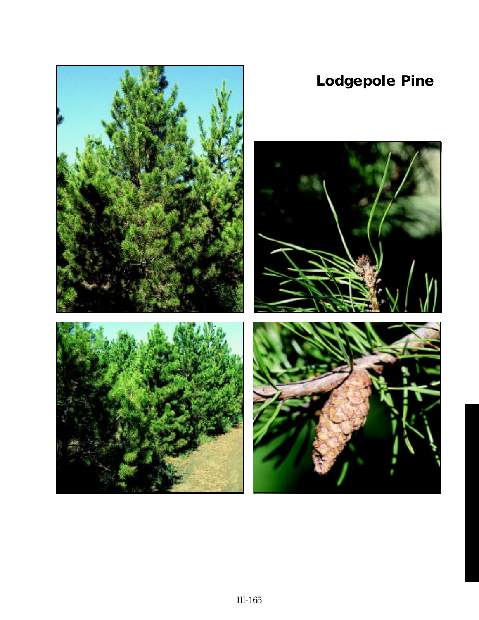